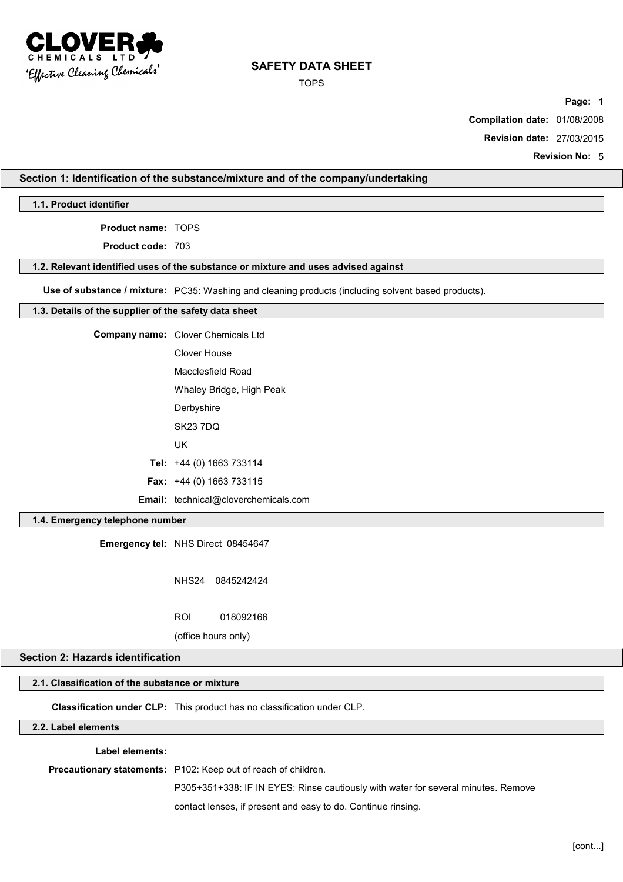

TOPS

**Page:** 1

**Compilation date:** 01/08/2008

**Revision date:** 27/03/2015

**Revision No:** 5

## **Section 1: Identification of the substance/mixture and of the company/undertaking**

**1.1. Product identifier**

**Product name:** TOPS

**Product code:** 703

#### **1.2. Relevant identified uses of the substance or mixture and uses advised against**

**Use of substance / mixture:** PC35: Washing and cleaning products (including solvent based products).

#### **1.3. Details of the supplier of the safety data sheet**

| <b>Company name:</b> Clover Chemicals Ltd   |
|---------------------------------------------|
| Clover House                                |
| Macclesfield Road                           |
| Whaley Bridge, High Peak                    |
| Derbyshire                                  |
| <b>SK23 7DQ</b>                             |
| UK                                          |
| Tel: $+44$ (0) 1663 733114                  |
| Fax: +44 (0) 1663 733115                    |
| <b>Email:</b> technical@cloverchemicals.com |

## **1.4. Emergency telephone number**

**Emergency tel:** NHS Direct 08454647

NHS24 0845242424

ROI 018092166

(office hours only)

# **Section 2: Hazards identification**

# **2.1. Classification of the substance or mixture**

**Classification under CLP:** This product has no classification under CLP.

# **2.2. Label elements**

**Label elements:**

**Precautionary statements:** P102: Keep out of reach of children.

P305+351+338: IF IN EYES: Rinse cautiously with water for several minutes. Remove

contact lenses, if present and easy to do. Continue rinsing.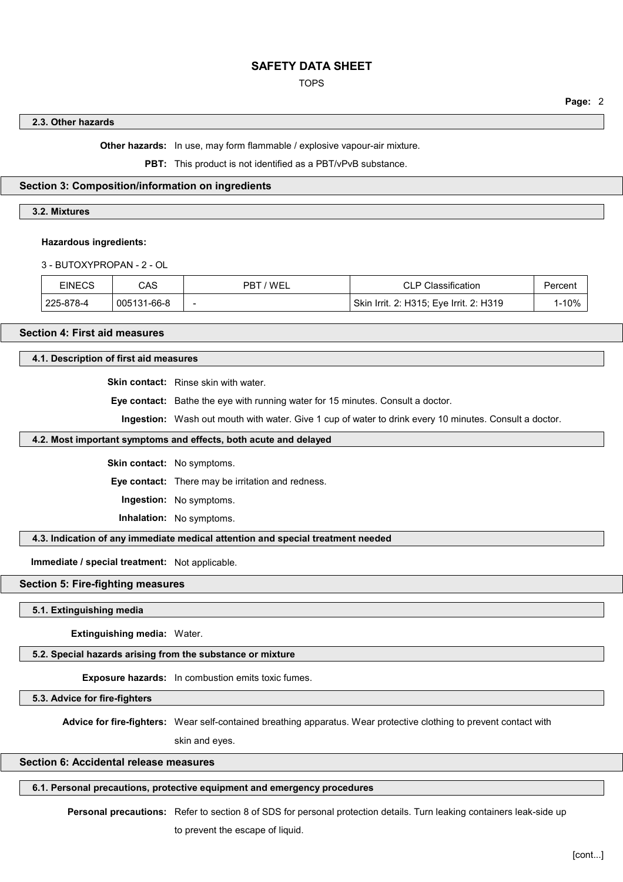## TOPS

#### **Page:** 2

## **2.3. Other hazards**

**Other hazards:** In use, may form flammable / explosive vapour-air mixture.

**PBT:** This product is not identified as a PBT/vPvB substance.

## **Section 3: Composition/information on ingredients**

# **3.2. Mixtures**

#### **Hazardous ingredients:**

3 - BUTOXYPROPAN - 2 - OL

| <b>EINECS</b> | CAS         | 'WEL<br>PB™              | <b>CLP Classification</b>               | Percent |
|---------------|-------------|--------------------------|-----------------------------------------|---------|
| 225-878-4     | 005131-66-8 | $\overline{\phantom{a}}$ | Skin Irrit. 2: H315; Eve Irrit. 2: H319 | 1-10%   |

# **Section 4: First aid measures**

### **4.1. Description of first aid measures**

**Skin contact:** Rinse skin with water.

**Eye contact:** Bathe the eye with running water for 15 minutes. Consult a doctor.

**Ingestion:** Wash out mouth with water. Give 1 cup of water to drink every 10 minutes. Consult a doctor.

#### **4.2. Most important symptoms and effects, both acute and delayed**

**Skin contact:** No symptoms.

**Eye contact:** There may be irritation and redness.

**Ingestion:** No symptoms.

**Inhalation:** No symptoms.

**4.3. Indication of any immediate medical attention and special treatment needed**

**Immediate / special treatment:** Not applicable.

#### **Section 5: Fire-fighting measures**

**5.1. Extinguishing media**

**Extinguishing media:** Water.

**5.2. Special hazards arising from the substance or mixture**

**Exposure hazards:** In combustion emits toxic fumes.

**5.3. Advice for fire-fighters**

**Advice for fire-fighters:** Wear self-contained breathing apparatus. Wear protective clothing to prevent contact with

skin and eyes.

# **Section 6: Accidental release measures**

**6.1. Personal precautions, protective equipment and emergency procedures**

Personal precautions: Refer to section 8 of SDS for personal protection details. Turn leaking containers leak-side up to prevent the escape of liquid.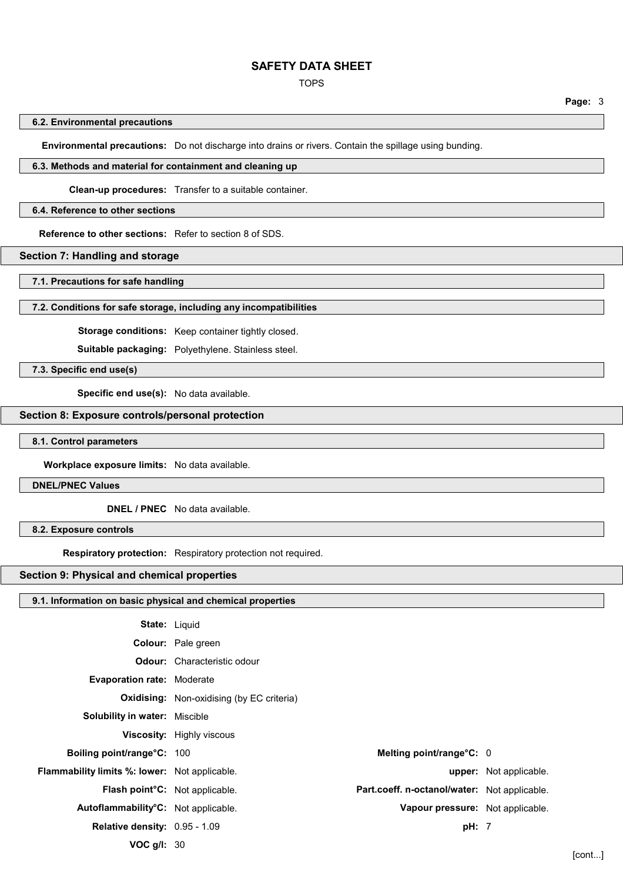#### TOPS

#### **6.2. Environmental precautions**

**Environmental precautions:** Do not discharge into drains or rivers. Contain the spillage using bunding.

#### **6.3. Methods and material for containment and cleaning up**

**Clean-up procedures:** Transfer to a suitable container.

#### **6.4. Reference to other sections**

**Reference to other sections:** Refer to section 8 of SDS.

## **Section 7: Handling and storage**

**7.1. Precautions for safe handling**

#### **7.2. Conditions for safe storage, including any incompatibilities**

**Storage conditions:** Keep container tightly closed.

**Suitable packaging:** Polyethylene. Stainless steel.

**7.3. Specific end use(s)**

**Specific end use(s):** No data available.

## **Section 8: Exposure controls/personal protection**

**8.1. Control parameters**

**Workplace exposure limits:** No data available.

**DNEL/PNEC Values**

**DNEL / PNEC** No data available.

**8.2. Exposure controls**

**Respiratory protection:** Respiratory protection not required.

#### **Section 9: Physical and chemical properties**

## **9.1. Information on basic physical and chemical properties**

| <b>State: Liquid</b>                                 |                                                  |                                              |                               |
|------------------------------------------------------|--------------------------------------------------|----------------------------------------------|-------------------------------|
|                                                      | Colour: Pale green                               |                                              |                               |
|                                                      | <b>Odour:</b> Characteristic odour               |                                              |                               |
| <b>Evaporation rate: Moderate</b>                    |                                                  |                                              |                               |
|                                                      | <b>Oxidising:</b> Non-oxidising (by EC criteria) |                                              |                               |
| <b>Solubility in water: Miscible</b>                 |                                                  |                                              |                               |
|                                                      | <b>Viscosity:</b> Highly viscous                 |                                              |                               |
| Boiling point/range°C: 100                           |                                                  | Melting point/range°C: 0                     |                               |
| <b>Flammability limits %: lower:</b> Not applicable. |                                                  |                                              | <b>upper:</b> Not applicable. |
| <b>Flash point<sup>o</sup>C</b> : Not applicable.    |                                                  | Part.coeff. n-octanol/water: Not applicable. |                               |
| Autoflammability°C: Not applicable.                  |                                                  | Vapour pressure: Not applicable.             |                               |
| <b>Relative density: 0.95 - 1.09</b>                 |                                                  | pH: 7                                        |                               |
| VOC $g/l: 30$                                        |                                                  |                                              |                               |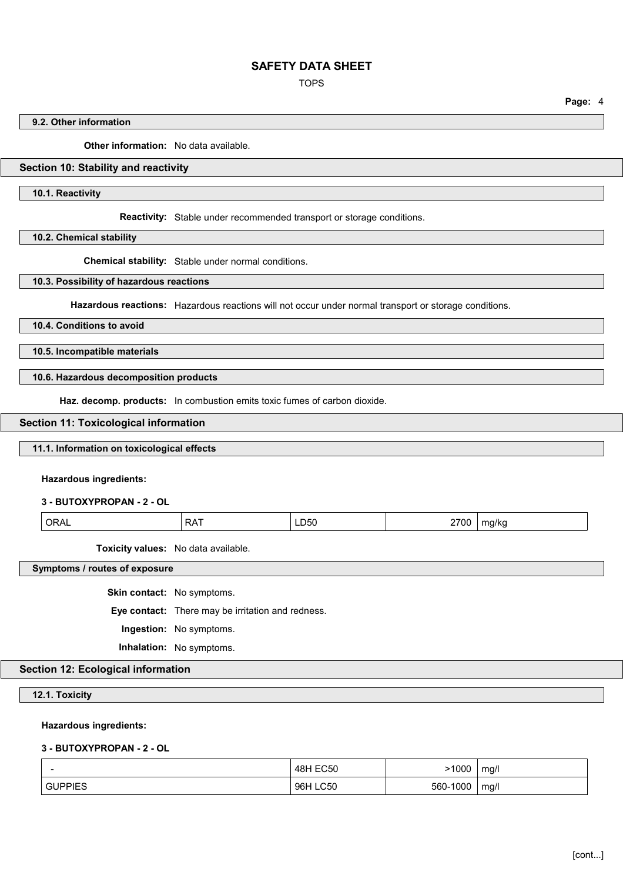TOPS

**Page:** 4

## **9.2. Other information**

**Other information:** No data available.

# **Section 10: Stability and reactivity**

**10.1. Reactivity**

**Reactivity:** Stable under recommended transport or storage conditions.

**10.2. Chemical stability**

**Chemical stability:** Stable under normal conditions.

**10.3. Possibility of hazardous reactions**

**Hazardous reactions:** Hazardous reactions will not occur under normal transport or storage conditions.

**10.4. Conditions to avoid**

**10.5. Incompatible materials**

**10.6. Hazardous decomposition products**

**Haz. decomp. products:** In combustion emits toxic fumes of carbon dioxide.

#### **Section 11: Toxicological information**

#### **11.1. Information on toxicological effects**

**Hazardous ingredients:**

**3 - BUTOXYPROPAN - 2 - OL**

| ORAL       | 2700  |
|------------|-------|
| <b>RAT</b> |       |
| LD50       | mg/kg |

**Toxicity values:** No data available.

**Symptoms / routes of exposure**

**Skin contact:** No symptoms.

**Eye contact:** There may be irritation and redness.

**Ingestion:** No symptoms.

**Inhalation:** No symptoms.

# **Section 12: Ecological information**

**12.1. Toxicity**

### **Hazardous ingredients:**

# **3 - BUTOXYPROPAN - 2 - OL**

|              | 48H FC50<br>550<br>___                       | 1000        | <br>ma/<br>. . |
|--------------|----------------------------------------------|-------------|----------------|
| IPPIES<br>GI | $\sim$ $\sim$ $\sim$<br>96H<br>$\sim$<br>∟∪∪ | 000<br>-560 | ma/l<br>ັ      |